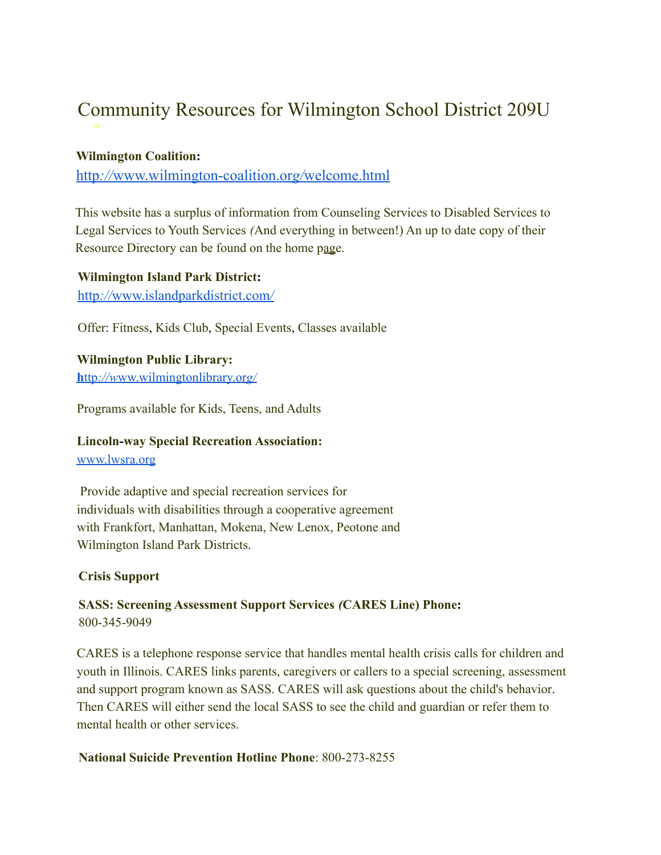# Community Resources for Wilmington School District 209U

## **Wilmington Coalition:**

http*://*[www.wilmington-coalition.or](http://www.wilmington-coalition.org/welcome.html)*g/*welcome.html

This website has a surplus of information from Counseling Services to Disabled Services to Legal Services to Youth Services *(*And everything in between!) An up to date copy of their Resource Directory can be found on the home page.

**Wilmington Island Park District:** http*://*[www.islandparkdistrict.com](http://www.islandparkdistrict.com/)*/*

Offer: Fitness, Kids Club, Special Events, Classes available

**Wilmington Public Library: h**ttp*://w*[ww.wilmingtonlibrary.or](http://www.wilmingtonlibrary.org/)*g/*

Programs available for Kids, Teens, and Adults

**Lincoln-way Special Recreation Association:** [www.lwsra.org](http://www.lwsra.org)

Provide adaptive and special recreation services for individuals with disabilities through a cooperative agreement with Frankfort, Manhattan, Mokena, New Lenox, Peotone and Wilmington Island Park Districts.

#### **Crisis Support**

# **SASS: Screening Assessment Support Services** *(***CARES Line) Phone:** 800-345-9049

CARES is a telephone response service that handles mental health crisis calls for children and youth in Illinois. CARES links parents, caregivers or callers to a special screening, assessment and support program known as SASS. CARES will ask questions about the child's behavior. Then CARES will either send the local SASS to see the child and guardian or refer them to mental health or other services.

#### **National Suicide Prevention Hotline Phone**: 800-273-8255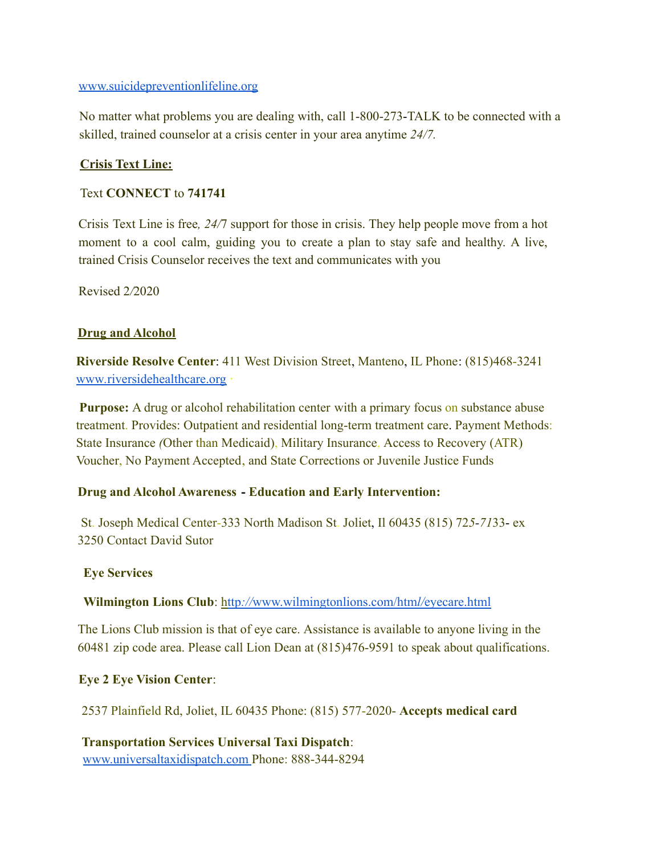#### [www.suicidepreventionlifeline.org](http://www.suicidepreventionlifeline.org)

No matter what problems you are dealing with, call 1-800-273-TALK to be connected with a skilled, trained counselor at a crisis center in your area anytime *24/7.*

## **Crisis Text Line:**

## Text **CONNECT** to **741741**

Crisis Text Line is free*, 24/*7 support for those in crisis. They help people move from a hot moment to a cool calm, guiding you to create a plan to stay safe and healthy. A live, trained Crisis Counselor receives the text and communicates with you

Revised 2*/*2020

## **Drug and Alcohol**

**Riverside Resolve Center**: 411 West Division Street, Manteno, IL Phone: (815)468-3241 www*.*[riversidehealthcare.org](http://www.riversidehealthcare.org) **·**

**Purpose:** A drug or alcohol rehabilitation center with a primary focus on substance abuse treatment. Provides: Outpatient and residential long-term treatment care. Payment Methods: State Insurance *(*Other than Medicaid), Military Insurance, Access to Recovery (ATR) Voucher, No Payment Accepted, and State Corrections or Juvenile Justice Funds

#### **Drug and Alcohol Awareness - Education and Early Intervention:**

St. Joseph Medical Center-333 North Madison St. Joliet, Il 60435 (815) 72*5-71*33- ex 3250 Contact David Sutor

#### **Eye Services**

#### **Wilmington Lions Club**: http*://*[www.wilmingtonlions.com/htm](http://www.wilmingtonlions.com/html/eyecare.html)*l/*eyecare.html

The Lions Club mission is that of eye care. Assistance is available to anyone living in the 60481 zip code area. Please call Lion Dean at (815)476-9591 to speak about qualifications.

#### **Eye 2 Eye Vision Center**:

2537 Plainfield Rd, Joliet, IL 60435 Phone: (815) 577-2020- **Accepts medical card**

**Transportation Services Universal Taxi Dispatch**: [www.universaltaxidispatch.com](http://www.universaltaxidispatch.com) Phone: 888-344-8294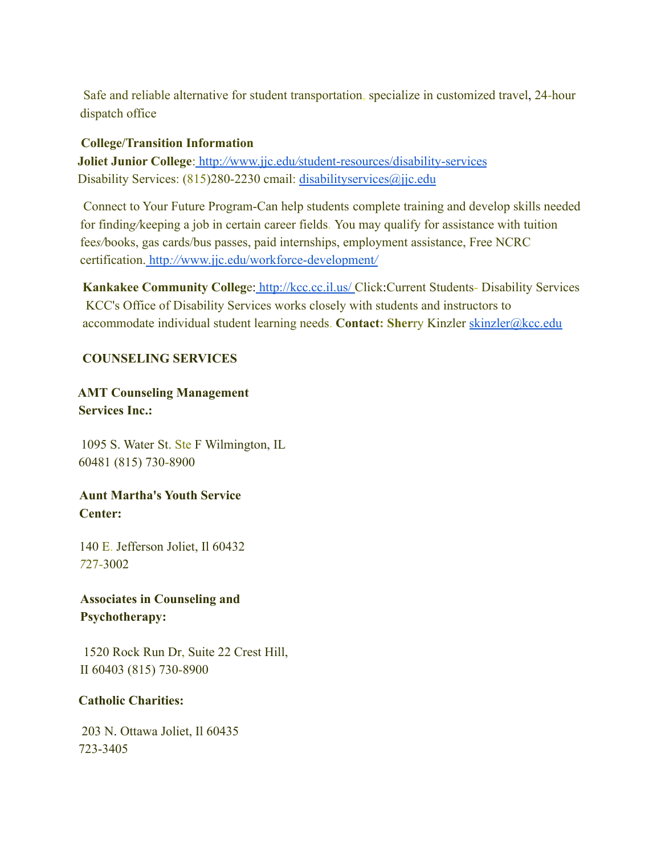Safe and reliable alternative for student transportation, specialize in customized travel, 24-hour dispatch office

#### **College/Transition Information**

**Joliet Junior College**: http:*//*www.jjc.edu*/*[student-resources/disability-services](http://www.jjc.edu/student-resources/disability-services) Disability Services: (815)280-2230 cmail: [disabilityservices@jjc.edu](mailto:disabilityservices@jjc.edu)

Connect to Your Future Program-Can help students complete training and develop skills needed for findin*g/*keeping a job in certain career fields. You may qualify for assistance with tuition fee*s/*books, gas cards/bus passes, paid internships, employment assistance, Free NCRC certification. http*://*[www.jjc.edu/workforce-development](http://www.jjc.edu/workforce-development/)*/*

**Kankakee Community Colleg**e: <http://kcc.cc.il.us/> Click:Current Students- Disability Services KCC's Office of Disability Services works closely with students and instructors to accommodate individual student learning needs. **Contact: Sher**ry Kinzler [skinzler](mailto:skinzler@kcc.edu)*@*kcc.edu

# **COUNSELING SERVICES**

**AMT Counseling Management Services Inc.:**

1095 S. Water St. Ste F Wilmington, IL 60481 (815) 730-8900

**Aunt Martha's Youth Service Center:**

140 E. Jefferson Joliet, Il 60432 *7*27-3002

**Associates in Counseling and Psychotherapy:**

1520 Rock Run Dr, Suite 22 Crest Hill, II 60403 (815) 730-8900

## **Catholic Charities:**

203 N. Ottawa Joliet, Il 60435 723-3405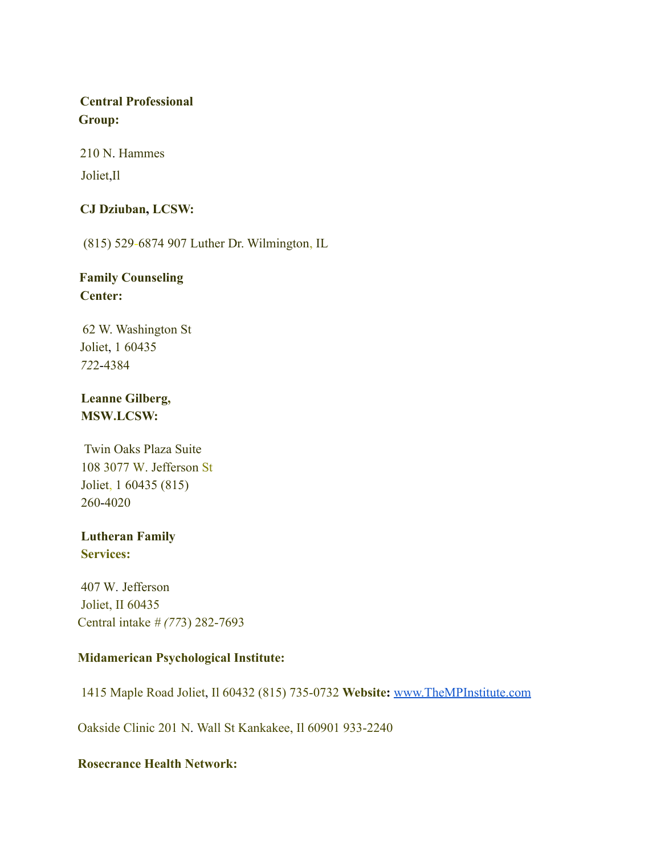# **Central Professional Group:**

210 N. Hammes

Joliet,Il

# **CJ Dziuban, LCSW:**

(815) 529-6874 907 Luther Dr. Wilmington, IL

# **Family Counseling Center:**

62 W. Washington St Joliet, 1 60435 *72*2-4384

# **Leanne Gilberg, MSW.LCSW:**

Twin Oaks Plaza Suite 108 3077 W. Jefferson St Joliet, 1 60435 (815) 260-4020

# **Lutheran Family Services:**

407 W*.* Jefferson Joliet, II 60435 Central intake *# (77*3) 282-7693

# **Midamerican Psychological Institute:**

1415 Maple Road Joliet, Il 60432 (815) 735-0732 **Website:** [www.TheMPInstitute.com](http://www.thempinstitute.com)

Oakside Clinic 201 N. Wall St Kankakee, Il 60901 933-2240

# **Rosecrance Health Network:**